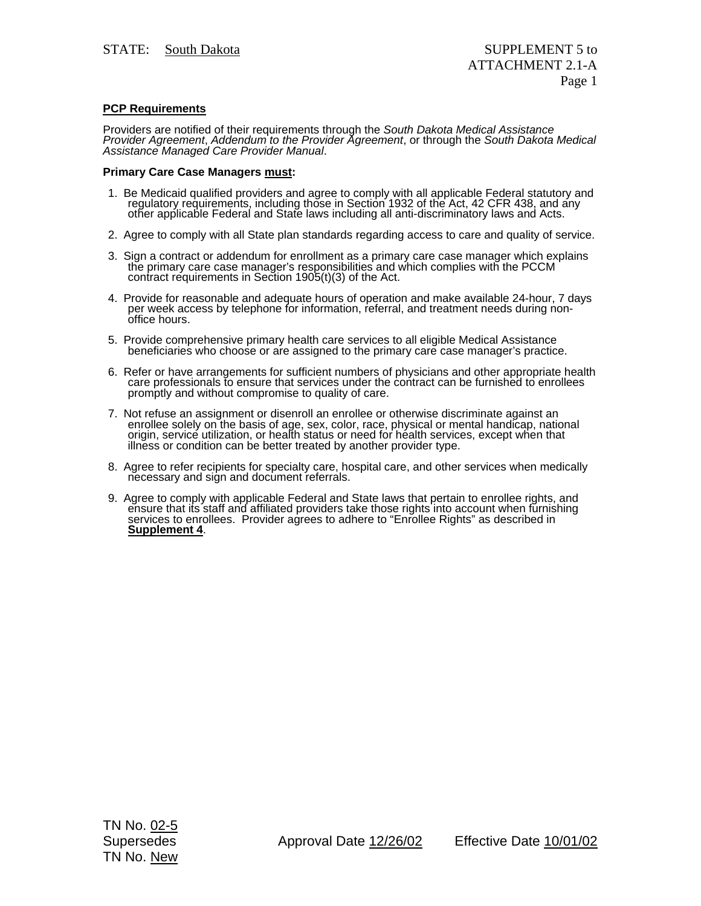## **PCP Requirements**

Providers are notified of their requirements through the *South Dakota Medical Assistance Provider Agreement*, *Addendum to the Provider Agreement*, or through the *South Dakota Medical Assistance Managed Care Provider Manual*.

## **Primary Care Case Managers must:**

- 1. Be Medicaid qualified providers and agree to comply with all applicable Federal statutory and regulatory requirements, including those in Section 1932 of the Act, 42 CFR 438, and any<br>other applicable Federal and State laws including all anti-discriminatory laws and Acts.
- 2. Agree to comply with all State plan standards regarding access to care and quality of service.
- 3. Sign a contract or addendum for enrollment as a primary care case manager which explains the primary care case manager's responsibilities and which complies with the PCCM contract requirements in Section 1905(t)(3) of the Act.
- 4. Provide for reasonable and adequate hours of operation and make available 24-hour, 7 days per week access by telephone for information, referral, and treatment needs during nonoffice hours.
- 5. Provide comprehensive primary health care services to all eligible Medical Assistance beneficiaries who choose or are assigned to the primary care case manager's practice.
- 6. Refer or have arrangements for sufficient numbers of physicians and other appropriate health care professionals to ensure that services under the contract can be furnished to enrollees promptly and without compromise to quality of care.
- 7. Not refuse an assignment or disenroll an enrollee or otherwise discriminate against an enrollee solely on the basis of age, sex, color, race, physical or mental handicap, national origin, service utilization, or health status or need for health services, except when that<br>illness or condition can be better treated by another provider type.
- 8. Agree to refer recipients for specialty care, hospital care, and other services when medically necessary and sign and document referrals.
- 9. Agree to comply with applicable Federal and State laws that pertain to enrollee rights, and ensure that its staff and affiliated providers take those rights into account when furnishing services to enrollees. Provider agrees to adhere to "Enrollee Rights" as described in **Supplement 4**.